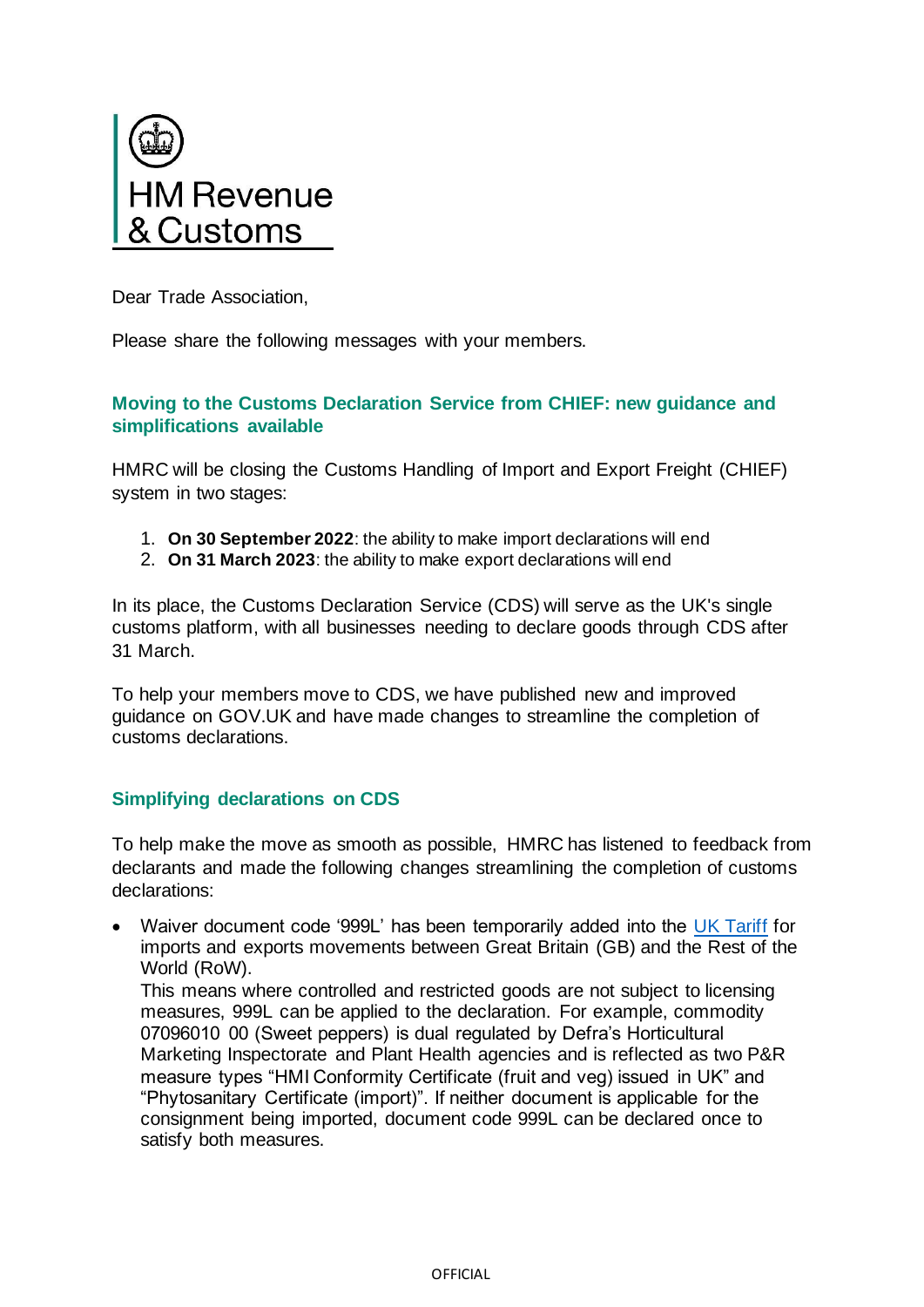

Dear Trade Association,

Please share the following messages with your members.

## **Moving to the Customs Declaration Service from CHIEF: new guidance and simplifications available**

HMRC will be closing the Customs Handling of Import and Export Freight (CHIEF) system in two stages:

- 1. **On 30 September 2022**: the ability to make import declarations will end
- 2. **On 31 March 2023**: the ability to make export declarations will end

In its place, the Customs Declaration Service (CDS) will serve as the UK's single customs platform, with all businesses needing to declare goods through CDS after 31 March.

To help your members move to CDS, we have published new and improved guidance on GOV.UK and have made changes to streamline the completion of customs declarations.

# **Simplifying declarations on CDS**

To help make the move as smooth as possible, HMRC has listened to feedback from declarants and made the following changes streamlining the completion of customs declarations:

• Waiver document code '999L' has been temporarily added into the [UK Tariff](https://www.gov.uk/government/collections/uk-trade-tariff-volume-3-for-cds--2) for imports and exports movements between Great Britain (GB) and the Rest of the World (RoW).

This means where controlled and restricted goods are not subject to licensing measures, 999L can be applied to the declaration. For example, commodity 07096010 00 (Sweet peppers) is dual regulated by Defra's Horticultural Marketing Inspectorate and Plant Health agencies and is reflected as two P&R measure types "HMI Conformity Certificate (fruit and veg) issued in UK" and "Phytosanitary Certificate (import)". If neither document is applicable for the consignment being imported, document code 999L can be declared once to satisfy both measures.